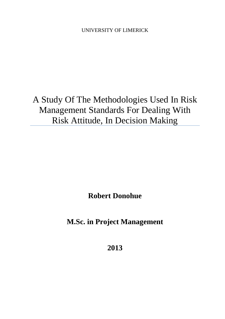UNIVERSITY OF LIMERICK

A Study Of The Methodologies Used In Risk Management Standards For Dealing With Risk Attitude, In Decision Making

**Robert Donohue**

**M.Sc. in Project Management**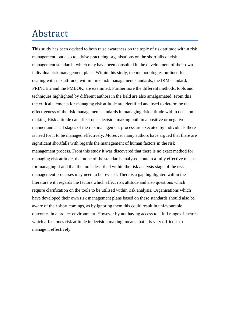## <span id="page-1-0"></span>Abstract

This study has been devised to both raise awareness on the topic of risk attitude within risk management, but also to advise practicing organisations on the shortfalls of risk management standards, which may have been consulted in the development of their own individual risk management plans. Within this study, the methodologies outlined for dealing with risk attitude, within three risk management standards; the IRM standard, PRINCE 2 and the PMBOK, are examined. Furthermore the different methods, tools and techniques highlighted by different authors in the field are also amalgamated. From this the critical elements for managing risk attitude are identified and used to determine the effectiveness of the risk management standards in managing risk attitude within decision making. Risk attitude can affect ones decision making both in a positive or negative manner and as all stages of the risk management process are executed by individuals there is need for it to be managed effectively. Moreover many authors have argued that there are significant shortfalls with regards the management of human factors in the risk management process. From this study it was discovered that there is no exact method for managing risk attitude, that none of the standards analysed contain a fully effective means for managing it and that the tools described within the risk analysis stage of the risk management processes may need to be revised. There is a gap highlighted within the literature with regards the factors which affect risk attitude and also questions which require clarification on the tools to be utilised within risk analysis. Organisations which have developed their own risk management plans based on these standards should also be aware of their short comings, as by ignoring them this could result in unfavourable outcomes in a project environment. However by not having access to a full range of factors which affect ones risk attitude in decision making, means that it is very difficult to manage it effectively.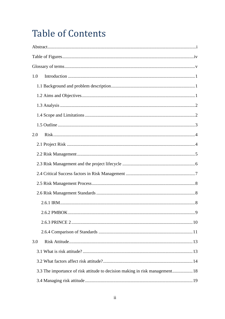## **Table of Contents**

| 1.0                                                                          |   |
|------------------------------------------------------------------------------|---|
|                                                                              |   |
|                                                                              |   |
|                                                                              |   |
|                                                                              |   |
|                                                                              |   |
| 2.0                                                                          |   |
|                                                                              |   |
|                                                                              |   |
|                                                                              |   |
|                                                                              |   |
|                                                                              |   |
|                                                                              |   |
|                                                                              |   |
|                                                                              | 9 |
|                                                                              |   |
|                                                                              |   |
| 3.0                                                                          |   |
|                                                                              |   |
|                                                                              |   |
| 3.3 The importance of risk attitude to decision making in risk management 18 |   |
|                                                                              |   |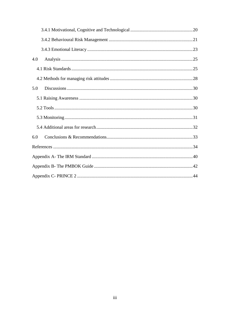| 4.0 |  |
|-----|--|
|     |  |
|     |  |
| 5.0 |  |
|     |  |
|     |  |
|     |  |
|     |  |
| 6.0 |  |
|     |  |
|     |  |
|     |  |
|     |  |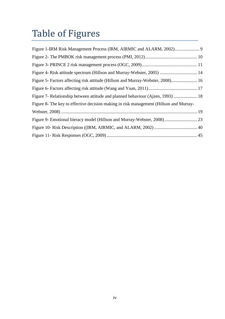# <span id="page-4-0"></span>Table of Figures

| Figure 5- Factors affecting risk attitude (Hillson and Murray-Webster, 2008) 16        |
|----------------------------------------------------------------------------------------|
|                                                                                        |
| Figure 7- Relationship between attitude and planned behaviour (Ajzen, 1993)  18        |
| Figure 8- The key to effective decision making in risk management (Hillson and Murray- |
|                                                                                        |
|                                                                                        |
|                                                                                        |
|                                                                                        |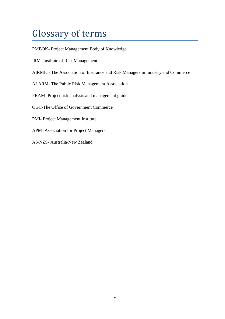## <span id="page-5-0"></span>Glossary of terms

PMBOK- Project Management Body of Knowledge

- IRM- Institute of Risk Management
- AIRMIC- The Association of Insurance and Risk Managers in Industry and Commerce
- ALARM- The Public Risk Management Association
- PRAM- Project risk analysis and management guide
- OGC-The Office of Government Commerce
- PMI- Project Management Institute
- APM- Association for Project Managers
- AS/NZS- Australia/New Zealand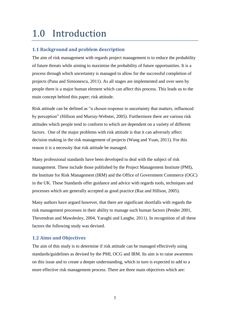## <span id="page-6-0"></span>1.0 Introduction

## <span id="page-6-1"></span>**1.1 Background and problem description**

The aim of risk management with regards project management is to reduce the probability of future threats while aiming to maximise the probability of future opportunities. It is a process through which uncertainty is managed to allow for the successful completion of projects (Pana and Simionescu, 2011). As all stages are implemented and over seen by people there is a major human element which can affect this process. This leads us to the main concept behind this paper; risk attitude.

Risk attitude can be defined as "a chosen response to uncertainty that matters, influenced by perception" (Hillson and Murray-Webster, 2005). Furthermore there are various risk attitudes which people tend to conform to which are dependent on a variety of different factors. One of the major problems with risk attitude is that it can adversely affect decision making in the risk management of projects (Wang and Yuan, 2011). For this reason it is a necessity that risk attitude be managed.

Many professional standards have been developed to deal with the subject of risk management. These include those published by the Project Management Institute (PMI), the Institute for Risk Management (IRM) and the Office of Government Commerce (OGC) in the UK. These Standards offer guidance and advice with regards tools, techniques and processes which are generally accepted as good practice (Raz and Hillson, 2005).

Many authors have argued however, that there are significant shortfalls with regards the risk management processes in their ability to manage such human factors (Pender 2001, Thevendran and Mawdesley, 2004, Yaraghi and Langhe, 2011). In recognition of all these factors the following study was devised.

## <span id="page-6-2"></span>**1.2 Aims and Objectives**

The aim of this study is to determine if risk attitude can be managed effectively using standards/guidelines as devised by the PMI, OCG and IRM. Its aim is to raise awareness on this issue and to create a deeper understanding, which in turn is expected to add to a more effective risk management process. There are three main objectives which are: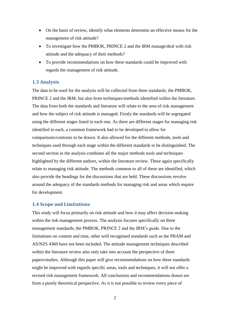- On the basis of review, identify what elements determine an effective means for the management of risk attitude?
- To investigate how the PMBOK, PRINCE 2 and the IRM manage/deal with risk attitude and the adequacy of their methods?
- To provide recommendations on how these standards could be improved with regards the management of risk attitude.

## <span id="page-7-0"></span>**1.3 Analysis**

The data to be used for the analysis will be collected from three standards; the PMBOK, PRINCE 2 and the IRM, but also from techniques/methods identified within the literature. The data from both the standards and literature will relate to the area of risk management and how the subject of risk attitude is managed. Firstly the standards will be segregated using the different stages listed in each one. As there are different stages for managing risk identified in each, a common framework had to be developed to allow for comparisons/contrasts to be drawn. It also allowed for the different methods, tools and techniques used through each stage within the different standards to be distinguished. The second section in the analysis combines all the major methods tools and techniques highlighted by the different authors, within the literature review. These again specifically relate to managing risk attitude. The methods common to all of these are identified, which also provide the headings for the discussions that are held. These discussions revolve around the adequacy of the standards methods for managing risk and areas which require for development.

### <span id="page-7-1"></span>**1.4 Scope and Limitations**

This study will focus primarily on risk attitude and how it may affect decision making within the risk management process. The analysis focuses specifically on three management standards; the PMBOK, PRINCE 2 and the IRM's guide. Due to the limitations on content and time, other well recognised standards such as the PRAM and AS/NZS 4360 have not been included. The attitude management techniques described within the literature review also only take into account the perspective of three papers/studies. Although this paper will give recommendations on how these standards might be improved with regards specific areas, tools and techniques, it will not offer a revised risk management framework. All conclusions and recommendations drawn are from a purely theoretical perspective. As it is not possible to review every piece of

 $\mathfrak{D}$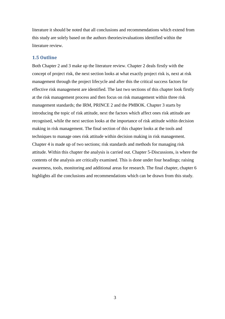literature it should be noted that all conclusions and recommendations which extend from this study are solely based on the authors theories/evaluations identified within the literature review.

### <span id="page-8-0"></span>**1.5 Outline**

Both Chapter 2 and 3 make up the literature review. Chapter 2 deals firstly with the concept of project risk, the next section looks at what exactly project risk is, next at risk management through the project lifecycle and after this the critical success factors for effective risk management are identified. The last two sections of this chapter look firstly at the risk management process and then focus on risk management within three risk management standards; the IRM, PRINCE 2 and the PMBOK. Chapter 3 starts by introducing the topic of risk attitude, next the factors which affect ones risk attitude are recognised, while the next section looks at the importance of risk attitude within decision making in risk management. The final section of this chapter looks at the tools and techniques to manage ones risk attitude within decision making in risk management. Chapter 4 is made up of two sections; risk standards and methods for managing risk attitude. Within this chapter the analysis is carried out. Chapter 5-Discussions, is where the contents of the analysis are critically examined. This is done under four headings; raising awareness, tools, monitoring and additional areas for research. The final chapter, chapter 6 highlights all the conclusions and recommendations which can be drawn from this study.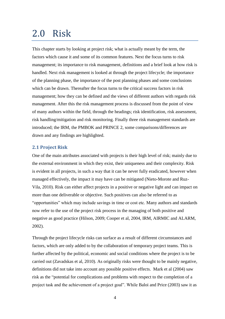## <span id="page-9-0"></span>2.0 Risk

This chapter starts by looking at project risk; what is actually meant by the term, the factors which cause it and some of its common features. Next the focus turns to risk management; its importance to risk management, definitions and a brief look at how risk is handled. Next risk management is looked at through the project lifecycle; the importance of the planning phase, the importance of the post planning phases and some conclusions which can be drawn. Thereafter the focus turns to the critical success factors in risk management; how they can be defined and the views of different authors with regards risk management. After this the risk management process is discussed from the point of view of many authors within the field, through the headings; risk identification, risk assessment, risk handling/mitigation and risk monitoring. Finally three risk management standards are introduced; the IRM, the PMBOK and PRINCE 2, some comparisons/differences are drawn and any findings are highlighted.

## <span id="page-9-1"></span>**2.1 Project Risk**

One of the main attributes associated with projects is their high level of risk; mainly due to the external environment in which they exist, their uniqueness and their complexity. Risk is evident in all projects, in such a way that it can be never fully eradicated, however when managed effectively, the impact it may have can be mitigated (Nieto-Morote and Ruz-Vila, 2010). Risk can either affect projects in a positive or negative light and can impact on more than one deliverable or objective. Such positives can also be referred to as "opportunities" which may include savings in time or cost etc. Many authors and standards now refer to the use of the project risk process in the managing of both positive and negative as good practice (Hilson, 2009; Cooper et al, 2004, IRM, AIRMIC and ALARM, 2002).

Through the project lifecycle risks can surface as a result of different circumstances and factors, which are only added to by the collaboration of temporary project teams. This is further affected by the political, economic and social conditions where the project is to be carried out (Zavadskas et al, 2010). As originally risks were thought to be mainly negative, definitions did not take into account any possible positive effects. Mark et al (2004) saw risk as the "potential for complications and problems with respect to the completion of a project task and the achievement of a project goal". While Baloi and Price (2003) saw it as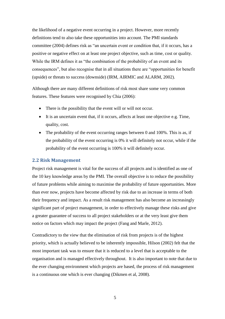the likelihood of a negative event occurring in a project. However, more recently definitions tend to also take these opportunities into account. The PMI standards committee (2004) defines risk as "an uncertain event or condition that, if it occurs, has a positive or negative effect on at least one project objective, such as time, cost or quality. While the IRM defines it as "the combination of the probability of an event and its consequences", but also recognise that in all situations there are "opportunities for benefit (upside) or threats to success (downside) (IRM, AIRMIC and ALARM, 2002).

Although there are many different definitions of risk most share some very common features. These features were recognised by Chia (2006):

- There is the possibility that the event will or will not occur.
- It is an uncertain event that, if it occurs, affects at least one objective e.g. Time, quality, cost.
- The probability of the event occurring ranges between 0 and 100%. This is as, if the probability of the event occurring is 0% it will definitely not occur, while if the probability of the event occurring is 100% it will definitely occur.

### <span id="page-10-0"></span>**2.2 Risk Management**

Project risk management is vital for the success of all projects and is identified as one of the 10 key knowledge areas by the PMI. The overall objective is to reduce the possibility of future problems while aiming to maximise the probability of future opportunities. More than ever now, projects have become affected by risk due to an increase in terms of both their frequency and impact. As a result risk management has also become an increasingly significant part of project management, in order to effectively manage these risks and give a greater guarantee of success to all project stakeholders or at the very least give them notice on factors which may impact the project (Fang and Marle, 2012).

Contradictory to the view that the elimination of risk from projects is of the highest priority, which is actually believed to be inherently impossible, Hilson (2002) felt that the most important task was to ensure that it is reduced to a level that is acceptable to the organisation and is managed effectively throughout. It is also important to note that due to the ever changing environment which projects are based, the process of risk management is a continuous one which is ever changing (Dikmen et al, 2008).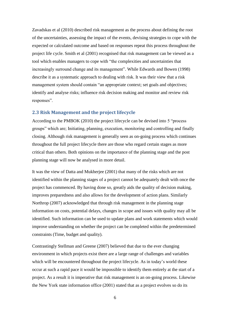Zavadskas et al (2010) described risk management as the process about defining the root of the uncertainties, assessing the impact of the events, devising strategies to cope with the expected or calculated outcome and based on responses repeat this process throughout the project life cycle. Smith et al (2001) recognised that risk management can be viewed as a tool which enables managers to cope with "the complexities and uncertainties that increasingly surround change and its management". While Edwards and Bowen (1998) describe it as a systematic approach to dealing with risk. It was their view that a risk management system should contain "an appropriate context; set goals and objectives; identify and analyse risks; influence risk decision making and monitor and review risk responses".

#### <span id="page-11-0"></span>**2.3 Risk Management and the project lifecycle**

According to the PMBOK (2010) the project lifecycle can be devised into 5 "process groups" which are; Initiating, planning, execution, monitoring and controlling and finally closing. Although risk management is generally seen as on-going process which continues throughout the full project lifecycle there are those who regard certain stages as more critical than others. Both opinions on the importance of the planning stage and the post planning stage will now be analysed in more detail.

It was the view of Datta and Mukherjee (2001) that many of the risks which are not identified within the planning stages of a project cannot be adequately dealt with once the project has commenced. By having done so, greatly aids the quality of decision making, improves preparedness and also allows for the development of action plans. Similarly Northrop (2007) acknowledged that through risk management in the planning stage information on costs, potential delays, changes in scope and issues with quality may all be identified. Such information can be used to update plans and work statements which would improve understanding on whether the project can be completed within the predetermined constraints (Time, budget and quality).

Contrastingly Stellman and Greene (2007) believed that due to the ever changing environment in which projects exist there are a large range of challenges and variables which will be encountered throughout the project lifecycle. As in today's world these occur at such a rapid pace it would be impossible to identify them entirely at the start of a project. As a result it is imperative that risk management is an on-going process. Likewise the New York state information office (2001) stated that as a project evolves so do its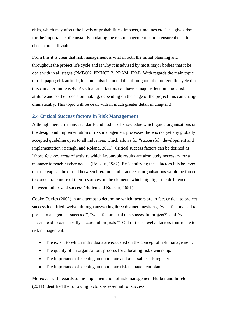risks, which may affect the levels of probabilities, impacts, timelines etc. This gives rise for the importance of constantly updating the risk management plan to ensure the actions chosen are still viable.

From this it is clear that risk management is vital in both the initial planning and throughout the project life cycle and is why it is advised by most major bodies that it be dealt with in all stages (PMBOK, PRINCE 2, PRAM, IRM). With regards the main topic of this paper; risk attitude, it should also be noted that throughout the project life cycle that this can alter immensely. As situational factors can have a major effect on one's risk attitude and so their decision making, depending on the stage of the project this can change dramatically. This topic will be dealt with in much greater detail in chapter 3.

## <span id="page-12-0"></span>**2.4 Critical Success factors in Risk Management**

Although there are many standards and bodies of knowledge which guide organisations on the design and implementation of risk management processes there is not yet any globally accepted guideline open to all industries, which allows for "successful" development and implementation (Yaraghi and Roland, 2011). Critical success factors can be defined as "those few key areas of activity which favourable results are absolutely necessary for a manager to reach his/her goals" (Rockart, 1982). By identifying these factors it is believed that the gap can be closed between literature and practice as organisations would be forced to concentrate more of their resources on the elements which highlight the difference between failure and success (Bullen and Rockart, 1981).

Cooke-Davies (2002) in an attempt to determine which factors are in fact critical to project success identified twelve, through answering three distinct questions; "what factors lead to project management success?", "what factors lead to a successful project?" and "what factors lead to consistently successful projects?". Out of these twelve factors four relate to risk management:

- The extent to which individuals are educated on the concept of risk management.
- The quality of an organisations process for allocating risk ownership.
- The importance of keeping an up to date and assessable risk register.
- The importance of keeping an up to date risk management plan.

Moreover with regards to the implementation of risk management Hurber and Imfeld, (2011) identified the following factors as essential for success: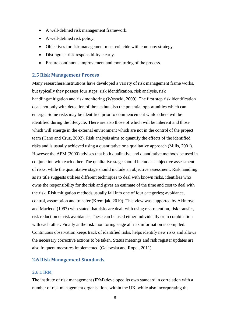- A well-defined risk management framework.
- A well-defined risk policy.
- Objectives for risk management must coincide with company strategy.
- Distinguish risk responsibility clearly.
- Ensure continuous improvement and monitoring of the process.

### <span id="page-13-0"></span>**2.5 Risk Management Process**

Many researchers/institutions have developed a variety of risk management frame works, but typically they possess four steps; risk identification, risk analysis, risk handling/mitigation and risk monitoring (Wysocki, 2009). The first step risk identification deals not only with detection of threats but also the potential opportunities which can emerge. Some risks may be identified prior to commencement while others will be identified during the lifecycle. There are also those of which will be inherent and those which will emerge in the external environment which are not in the control of the project team (Cano and Cruz, 2002). Risk analysis aims to quantify the effects of the identified risks and is usually achieved using a quantitative or a qualitative approach (Mills, 2001). However the APM (2000) advises that both qualitative and quantitative methods be used in conjunction with each other. The qualitative stage should include a subjective assessment of risks, while the quantitative stage should include an objective assessment. Risk handling as its title suggests utilises different techniques to deal with known risks, identifies who owns the responsibility for the risk and gives an estimate of the time and cost to deal with the risk. Risk mitigation methods usually fall into one of four categories; avoidance, control, assumption and transfer (Kremljak, 2010). This view was supported by Akintoye and Macleod (1997) who stated that risks are dealt with using risk retention, risk transfer, risk reduction or risk avoidance. These can be used either individually or in combination with each other. Finally at the risk monitoring stage all risk information is compiled. Continuous observation keeps track of identified risks, helps identify new risks and allows the necessary corrective actions to be taken. Status meetings and risk register updates are also frequent measures implemented (Gajewska and Ropel, 2011).

### <span id="page-13-1"></span>**2.6 Risk Management Standards**

#### <span id="page-13-2"></span>**2.6.1 IRM**

The institute of risk management (IRM) developed its own standard in correlation with a number of risk management organisations within the UK, while also incorporating the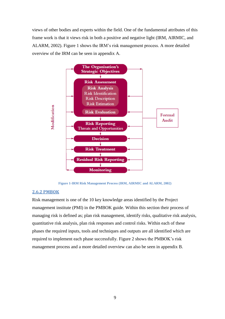views of other bodies and experts within the field. One of the fundamental attributes of this frame work is that it views risk in both a positive and negative light (IRM, AIRMIC, and ALARM, 2002). Figure 1 shows the IRM's risk management process. A more detailed overview of the IRM can be seen in appendix A.



**Figure 1-IRM Risk Management Process (IRM, AIRMIC and ALARM, 2002)**

#### <span id="page-14-1"></span><span id="page-14-0"></span>**2.6.2 PMBOK**

Risk management is one of the 10 key knowledge areas identified by the Project management institute (PMI) in the PMBOK guide. Within this section their process of managing risk is defined as; plan risk management, identify risks, qualitative risk analysis, quantitative risk analysis, plan risk responses and control risks. Within each of these phases the required inputs, tools and techniques and outputs are all identified which are required to implement each phase successfully. Figure 2 shows the PMBOK's risk management process and a more detailed overview can also be seen in appendix B.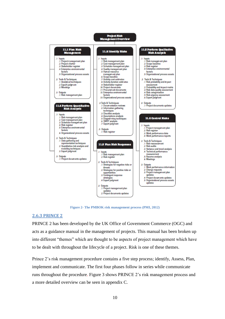

**Figure 2- The PMBOK risk management process (PMI, 2012)**

#### <span id="page-15-1"></span><span id="page-15-0"></span>**2.6.3 PRINCE 2**

PRINCE 2 has been developed by the UK Office of Government Commerce (OGC) and acts as a guidance manual in the management of projects. This manual has been broken up into different "themes" which are thought to be aspects of project management which have to be dealt with throughout the lifecycle of a project. Risk is one of these themes.

Prince 2's risk management procedure contains a five step process; identify, Assess, Plan, implement and communicate. The first four phases follow in series while communicate runs throughout the procedure. Figure 3 shows PRINCE 2's risk management process and a more detailed overview can be seen in appendix C.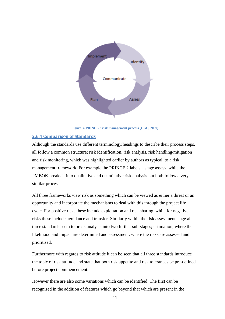

**Figure 3- PRINCE 2 risk management process (OGC, 2009)**

### <span id="page-16-1"></span><span id="page-16-0"></span>**2.6.4 Comparison of Standards**

Although the standards use different terminology/headings to describe their process steps, all follow a common structure; risk identification, risk analysis, risk handling/mitigation and risk monitoring, which was highlighted earlier by authors as typical, to a risk management framework. For example the PRINCE 2 labels a stage assess, while the PMBOK breaks it into qualitative and quantitative risk analysis but both follow a very similar process.

All three frameworks view risk as something which can be viewed as either a threat or an opportunity and incorporate the mechanisms to deal with this through the project life cycle. For positive risks these include exploitation and risk sharing, while for negative risks these include avoidance and transfer. Similarly within the risk assessment stage all three standards seem to break analysis into two further sub-stages; estimation, where the likelihood and impact are determined and assessment, where the risks are assessed and prioritised.

Furthermore with regards to risk attitude it can be seen that all three standards introduce the topic of risk attitude and state that both risk appetite and risk tolerances be pre-defined before project commencement.

However there are also some variations which can be identified. The first can be recognised in the addition of features which go beyond that which are present in the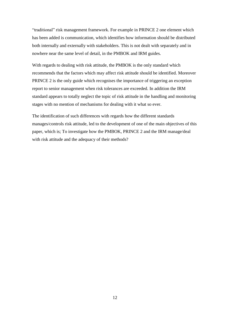"traditional" risk management framework. For example in PRINCE 2 one element which has been added is communication, which identifies how information should be distributed both internally and externally with stakeholders. This is not dealt with separately and in nowhere near the same level of detail, in the PMBOK and IRM guides.

With regards to dealing with risk attitude, the PMBOK is the only standard which recommends that the factors which may affect risk attitude should be identified. Moreover PRINCE 2 is the only guide which recognises the importance of triggering an exception report to senior management when risk tolerances are exceeded. In addition the IRM standard appears to totally neglect the topic of risk attitude in the handling and monitoring stages with no mention of mechanisms for dealing with it what so ever.

The identification of such differences with regards how the different standards manages/controls risk attitude, led to the development of one of the main objectives of this paper, which is; To investigate how the PMBOK, PRINCE 2 and the IRM manage/deal with risk attitude and the adequacy of their methods?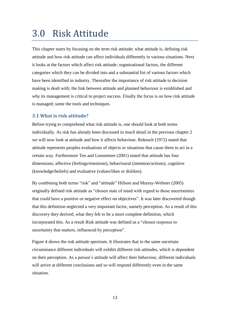## <span id="page-18-0"></span>3.0 Risk Attitude

This chapter starts by focusing on the term risk attitude; what attitude is, defining risk attitude and how risk attitude can affect individuals differently in various situations. Next it looks at the factors which affect risk attitude; organisational factors, the different categories which they can be divided into and a substantial list of various factors which have been identified in industry. Thereafter the importance of risk attitude to decision making is dealt with; the link between attitude and planned behaviour is established and why its management is critical to project success. Finally the focus is on how risk attitude is managed; some the tools and techniques.

## <span id="page-18-1"></span>**3.1 What is risk attitude?**

Before trying to comprehend what risk attitude is, one should look at both terms individually. As risk has already been discussed in much detail in the previous chapter 2 we will now look at attitude and how it affects behaviour. Rokeach (1972) stated that attitude represents peoples evaluations of objects or situations that cause them to act in a certain way. Furthermore Teo and Loosemore (2001) stated that attitude has four dimensions; affective (feelings/emotions), behavioural (intention/actions), cognitive (knowledge/beliefs) and evaluative (values/likes or dislikes).

By combining both terms "risk" and "attitude" Hillson and Murray-Webster (2005) originally defined risk attitude as "chosen state of mind with regard to those uncertainties that could have a positive or negative effect on objectives". It was later discovered though that this definition neglected a very important factor, namely perception. As a result of this discovery they derived, what they felt to be a more complete definition, which incorporated this. As a result Risk attitude was defined as a "chosen response to uncertainty that matters, influenced by perception".

Figure 4 shows the risk attitude spectrum. It illustrates that in the same uncertain circumstance different individuals will exhibit different risk attitudes, which is dependent on their perception. As a person's attitude will affect their behaviour, different individuals will arrive at different conclusions and so will respond differently even in the same situation.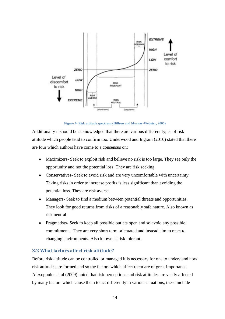

**Figure 4- Risk attitude spectrum (Hillson and Murray-Webster, 2005)**

<span id="page-19-1"></span>Additionally it should be acknowledged that there are various different types of risk attitude which people tend to confirm too. Underwood and Ingram (2010) stated that there are four which authors have come to a consensus on:

- Maximizers- Seek to exploit risk and believe no risk is too large. They see only the opportunity and not the potential loss. They are risk seeking.
- Conservatives- Seek to avoid risk and are very uncomfortable with uncertainty. Taking risks in order to increase profits is less significant than avoiding the potential loss. They are risk averse.
- Managers- Seek to find a medium between potential threats and opportunities. They look for good returns from risks of a reasonably safe nature. Also known as risk neutral.
- Pragmatists- Seek to keep all possible outlets open and so avoid any possible commitments. They are very short term orientated and instead aim to react to changing environments. Also known as risk tolerant.

### <span id="page-19-0"></span>**3.2 What factors affect risk attitude?**

Before risk attitude can be controlled or managed it is necessary for one to understand how risk attitudes are formed and so the factors which affect them are of great importance. Alexopoulos et al (2009) noted that risk perceptions and risk attitudes are vastly affected by many factors which cause them to act differently in various situations, these include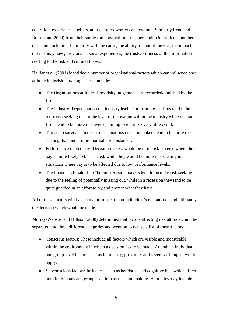education, experiences, beliefs, attitude of co-workers and culture. Similarly Renn and Rohrmann (2000) from their studies on cross cultural risk perception identified a number of factors including; familiarity with the cause, the ability to control the risk, the impact the risk may have, previous personal experiences, the trustworthiness of the information realting to the risk and cultural biases.

Helliar et al. (2001) identified a number of organisational factors which can influence ones attitude in decision making. These include:

- The Organisations attitude- How risky judgements are rewarded/punished by the firm.
- The Industry- Dependant on the industry itself. For example IT firms tend to be more risk seeking due to the level of innovation within the industry while insurance firms tend to be more risk averse, aiming to identify every little detail.
- Threats to survival- In disastrous situations decision makers tend to be more risk seeking than under more normal circumstances.
- Performance related pay- Decision makers would be more risk adverse where their pay is more likely to be affected, while they would be more risk seeking in situations where pay is to be affected due to low performance levels.
- The financial climate- In a "boom" decision makers tend to be more risk seeking due to the feeling of potentially missing out, while in a recession they tend to be quite guarded in an effort to try and protect what they have.

All of these factors will have a major impact on an individual's risk attitude and ultimately the decision which would be made.

Murray-Webster and Hillson (2008) determined that factors affecting risk attitude could be separated into three different categories and went on to devise a list of these factors:

- Conscious factors: These include all factors which are visible and measurable within the environment in which a decision has to be made. At both an individual and group level factors such as familiarity, proximity and severity of impact would apply.
- Subconscious factors: Influences such as heuristics and cognitive bias which affect both individuals and groups can impact decision making. Heuristics may include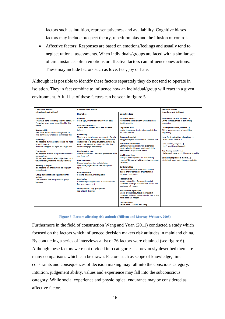factors such as intuition, representativeness and availability. Cognitive biases factors may include prospect theory, repetition bias and the illusion of control.

 Affective factors: Responses are based on emotions/feelings and usually tend to neglect rational assessments. When individuals/groups are faced with a similar set of circumstances often emotions or affective factors can influence ones actions. These may include factors such as love, fear, joy or hate.

Although it is possible to identify these factors separately they do not tend to operate in isolation. They in fact combine to influence how an individual/group will react in a given environment. A full list of these factors can be seen in figure 5.

| <b>Conscious factors</b><br>(situational and rational)                                                                                                                                                                                                                                                                                                                                                                                                                                                                                                                                                                                                                                                                                                              | <b>Subconscious factors</b>                                                                                                                                                                                                                                                                                                                                                                                                                                                                                                                                                                                                                                                                                                                                                                                                              |                                                                                                                                                                                                                                                                                                                                                                                                                                                                                                                                                                                                                                                                                                                                                                                                                                                                                                                                                                                                                                                                           | <b>Affective factors</b>                                                                                                                                                                                                                                                                                                                                                                                                                            |  |
|---------------------------------------------------------------------------------------------------------------------------------------------------------------------------------------------------------------------------------------------------------------------------------------------------------------------------------------------------------------------------------------------------------------------------------------------------------------------------------------------------------------------------------------------------------------------------------------------------------------------------------------------------------------------------------------------------------------------------------------------------------------------|------------------------------------------------------------------------------------------------------------------------------------------------------------------------------------------------------------------------------------------------------------------------------------------------------------------------------------------------------------------------------------------------------------------------------------------------------------------------------------------------------------------------------------------------------------------------------------------------------------------------------------------------------------------------------------------------------------------------------------------------------------------------------------------------------------------------------------------|---------------------------------------------------------------------------------------------------------------------------------------------------------------------------------------------------------------------------------------------------------------------------------------------------------------------------------------------------------------------------------------------------------------------------------------------------------------------------------------------------------------------------------------------------------------------------------------------------------------------------------------------------------------------------------------------------------------------------------------------------------------------------------------------------------------------------------------------------------------------------------------------------------------------------------------------------------------------------------------------------------------------------------------------------------------------------|-----------------------------------------------------------------------------------------------------------------------------------------------------------------------------------------------------------------------------------------------------------------------------------------------------------------------------------------------------------------------------------------------------------------------------------------------------|--|
|                                                                                                                                                                                                                                                                                                                                                                                                                                                                                                                                                                                                                                                                                                                                                                     | <b>Heuristics</b>                                                                                                                                                                                                                                                                                                                                                                                                                                                                                                                                                                                                                                                                                                                                                                                                                        | <b>Cognitive bias</b>                                                                                                                                                                                                                                                                                                                                                                                                                                                                                                                                                                                                                                                                                                                                                                                                                                                                                                                                                                                                                                                     | (emotions and feelings)                                                                                                                                                                                                                                                                                                                                                                                                                             |  |
| Familiarity<br>l've/we've done something like this before, or<br>l've/we've never done something like this<br>before<br><b>Manageability</b><br>I/we know what to do to manage this, or<br>I/we don't know what to do to manage this<br><b>Proximity</b><br>If it happens it will happen soon so we need<br>to sort it now, or<br>It wouldn't happen for ages, we've got time<br>Propinguity<br>If it happens it would really matter to me/us<br>personally, or<br>If it happens it would affect objectives, but it<br>wouldn't really matter to me/us personally<br><b>Severity of impact</b><br>It it happens the effect would be huge (or<br>insignificant)<br>Group dynamics and organizational<br>culture<br>The norms of how this particular group<br>behaves | Infuition<br>Feels right, I won't look for any more data<br><b>Representativeness</b><br>This must be like this other one I've seen<br>hefore<br><b>Availability</b><br>Most recent data is most memorable. Closely<br>linked to reality traps where 'too much value<br>is attributed to existing situations, blinded by<br>what is, we cannot see what might be if we<br>could disengage from reality'<br><b>Confirmation trap</b><br>Undue confidence - selective perception: trust<br>me. I'm $a?$<br>Lure of choice<br>Biased by options that include future<br>alternative judgements - keeping options<br>open<br><b>Affect heuristic</b><br>Seeking pleasure, avoiding pain<br>Anchoring<br>Attach illogical significance to available data,<br>first impressions last<br>Group effects, e.g. groupthink<br>We all think this way | <b>Prospect theory</b><br>A bird in the hand is worth two in the bush.<br>double or guits<br><b>Repetition bias</b><br>Undue importance is given to repeated data<br>- it must be truel<br><b>Illusion of control</b><br>Exaggerate personal influence, discount luck<br>Illusion of knowledge<br>Some knowledge or relevant experience<br>masks what isn't known, particularly if the<br>person feels they 'should' know<br>Intelligence trap<br>Ability to mentally construct and verbally<br>reason (IQ) means that the conclusions must<br>he correct<br><b>Optimism bias</b><br>Delusional optimism driven by cognitive<br>biases and/or perceived organizational<br>pressures and norms<br><b>Fatalism bias</b><br>lanore probabilities, focus on impact of<br>outcomes - always optimistically, that is, the<br>best case will happen<br><b>Precautionary principle</b><br>Ignore probabilities, focus on impact of<br>outcomes - always pessimistically, that is, the<br>worst case will happen<br><b>Hindsight bias</b><br>Fail to learn - 'I knew it all along' | Fear (dread, worry, concern)<br>Of the consequences of something<br>happening<br>Desire (excitement, wonder)<br>Of the consequences of something<br>happening<br>Love (lust, adoration, attraction)<br>I want it/want more of it.<br>Hate (dislike, disgust)<br>I don't want it/want less of it<br>Joy (happy, carefree)<br>Life is good, more good things are possible<br>Sadness (depressed, morbid)<br>Life is bad, more bad things are probable |  |

**Figure 5- Factors affecting risk attitude (Hillson and Murray-Webster, 2008)**

<span id="page-21-0"></span>Furthermore in the field of construction Wang and Yuan (2011) conducted a study which focused on the factors which influenced decision makers risk attitudes in mainland china. By conducting a series of interviews a list of 26 factors were obtained (see figure 6). Although these factors were not divided into categories as previously described there are many comparisons which can be drawn. Factors such as scope of knowledge, time constraints and consequences of decision making may fall into the conscious category. Intuition, judgement ability, values and experience may fall into the subconscious category. While social experience and physiological endurance may be considered as affective factors.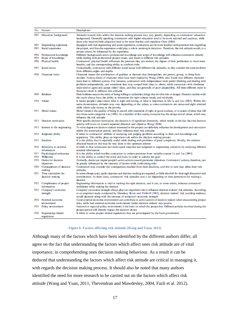| No.         | Factors                                         | Descriptions                                                                                                                                                                                                                                                                                                                                                                                                                                                                                                                                                                                                                                           |
|-------------|-------------------------------------------------|--------------------------------------------------------------------------------------------------------------------------------------------------------------------------------------------------------------------------------------------------------------------------------------------------------------------------------------------------------------------------------------------------------------------------------------------------------------------------------------------------------------------------------------------------------------------------------------------------------------------------------------------------------|
| FO 1        | Education background                            | Attitudes toward risks within the decision making process may vary greatly, depending on contractors' education<br>background. Generally speaking, contractors with higher education tend to be more rational and cautious, while<br>those who received little education tend to be more fearless and impulsive Chen (2000)                                                                                                                                                                                                                                                                                                                            |
| FO3         | F02 Engineering experience<br>Social experience | Equipped with rich engineering and social experience, contractors can be more familiar with potential risks regarding<br>the project, and thus the experience could play a role in assisting in decisions. Therefore, the risk attitude would, to a<br>certain extent, be influenced by the experience                                                                                                                                                                                                                                                                                                                                                 |
| F04<br>FO 5 | Professional knowledge<br>Scope of knowledge    | Different backgrounds across professional knowledge and scope of knowledge will influence contractors directly<br>while dealing with professional project issues, and result in different risk attitudes                                                                                                                                                                                                                                                                                                                                                                                                                                               |
|             | F06 Physical health                             | Contractors' physical health influences the pressure they can endure, the degree of their preferences to short-term<br>benefits, and the corresponding ability to confront risks                                                                                                                                                                                                                                                                                                                                                                                                                                                                       |
|             | F07 Social status                               | Undoubtedly, contractors with different social status hold different risk attitudes, as they consider the same problem<br>from different angles and depths                                                                                                                                                                                                                                                                                                                                                                                                                                                                                             |
|             | F08 Character traits                            | Character means the combination of qualities or features that distinguishes one person, group, or thing from<br>another. Various kinds of character traits have been studied by Wang (2000), who found that different character<br>traits lead to different actions. For instance, contractors with independence traits prefer thinking and dealing with<br>problems independently, and sometimes they may compel their ideas to others; while contractors with obedience<br>traits tend to agree and accept others' ideas, and they are generally of poor adaptability. All these different traits in<br>character result in different risk attitudes |
|             | F09 Boldness                                    | Here boldness means the traits of being willing to undertake things that involve risk or danger. Decision makers with<br>this traits always have the ability to determine the right scheme timely and resolutely.                                                                                                                                                                                                                                                                                                                                                                                                                                      |
|             | F10 Values                                      | It means people's ideas about what is right and wrong, or what is important in life Li and Liu (2003). Within the<br>same circumstance, attitudes may vary depending on the values, as some contractors are status-and-right oriented<br>while others take money as the priority                                                                                                                                                                                                                                                                                                                                                                       |
|             | F11 Moral values                                | Moral values is the quality of being in accord with standards of right or good conduct, or a system of ideas that fall<br>into those same categories Liu (1998). As a member of the society, everyone has the unique moral values, which may<br>influence the risk attitude                                                                                                                                                                                                                                                                                                                                                                            |
|             | F12 Decision motivation                         | With specific decision motivation, the decision is of significant directivity, which results in the fact that the decision<br>activity will move on toward expected direction and objective Wang (2000)                                                                                                                                                                                                                                                                                                                                                                                                                                                |
| F13         | Interest in the engineering                     | To what degree are decision makers interested in the project can definitely influence the development and innovation<br>within the construction period, and thus influence their risk attitudes                                                                                                                                                                                                                                                                                                                                                                                                                                                        |
| F14         | Judgment ability                                | It refers to contractors' abilities of analyzing and judging problems according to their own knowledge and<br>experience. This ability plays an important role within the decision making process                                                                                                                                                                                                                                                                                                                                                                                                                                                      |
|             | F15 Intuition                                   | It is the ability that is especially useful while dealing with problems of great complexity. Mostly, the solution<br>obtained based on this may be very dose to the optimum scheme                                                                                                                                                                                                                                                                                                                                                                                                                                                                     |
|             | F16 Sensitivity to external<br>information      | It refers to that contractors can make quick response and judgment to engineering variations by analyzing different<br>external information                                                                                                                                                                                                                                                                                                                                                                                                                                                                                                            |
|             | F17 Psychological endurance<br>F18 Willpower    | It is the ability which enables contractors to endure pressures from variable sources Li and Liu (2003)<br>It is the ability to control the mind and body in order to achieve the goal                                                                                                                                                                                                                                                                                                                                                                                                                                                                 |
|             | F19 Desire for decision<br>objectives           | Normally, desire can inspire people's active actions toward particular objectives. Contractors' actions, therefore, can<br>be greatly influenced by the intensity of desires while confronting risks                                                                                                                                                                                                                                                                                                                                                                                                                                                   |
|             | F20 Consequences of decision<br>making          | Contractors may consider the consequences resulted from their decisions, and this in turn may affect their risk<br>attitudes                                                                                                                                                                                                                                                                                                                                                                                                                                                                                                                           |
|             | F21 Time constraints for<br>decision making     | In some abrupt cases, quick response and decision making are required, as little time left for thorough discussion and<br>consideration. In these cases, contractors' risk attitudes vary a lot depending on time permission for making a<br>decision                                                                                                                                                                                                                                                                                                                                                                                                  |
|             | F22 Completeness of project<br>information      | Engineering information is vital in making the right decision, and it can, to some extent, enhance contractors'<br>confidence while making the decision                                                                                                                                                                                                                                                                                                                                                                                                                                                                                                |
|             | F23 Company's economic<br>strength              | Company's economic strength always plays an important role to influence decision makers' risk attitudes. According<br>to an empirical study conducted by Haimlevy Slovic and Fishhoff (1982), decision makers' risk avoiding tendency<br>would decrease along with the increase of company's economic strength                                                                                                                                                                                                                                                                                                                                         |
|             | F24 External economic                           | Good external economic environment can contribute to active actions of decision makers when encountering project                                                                                                                                                                                                                                                                                                                                                                                                                                                                                                                                       |
|             | environment<br>F25 Policy environment           | risks, while bad external economic environment makes decision makers very passive<br>National or regional policy environment is the basis on which the project lies. Different policies involved during the<br>project period will directly impact the decision choice                                                                                                                                                                                                                                                                                                                                                                                 |
|             | F26 Engineering related<br>regulations          | It refers to some project related regulations that are promulgated by the local government                                                                                                                                                                                                                                                                                                                                                                                                                                                                                                                                                             |

#### **Figure 6- Factors affecting risk attitude (Wang and Yuan, 2011)**

<span id="page-22-0"></span>Although many of the factors which have been identified by the different authors differ, all agree on the fact that understanding the factors which affect ones risk attitude are of vital importance, in comprehending ones decision making behaviour. As a result it can be deduced that understanding the factors which affect risk attitude are critical in managing it, with regards the decision making process. It should also be noted that many authors identified the need for more research to be carried out on the factors which affect risk attitude (Wang and Yuan, 2011, Thevendran and Mawdesley, 2004, Fazli et al. 2012).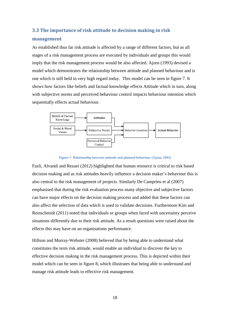### <span id="page-23-0"></span>**3.3 The importance of risk attitude to decision making in risk**

### **management**

As established thus far risk attitude is affected by a range of different factors, but as all stages of a risk management process are executed by individuals and groups this would imply that the risk management process would be also affected. Ajzen (1993) devised a model which demonstrates the relationship between attitude and planned behaviour and is one which is still held in very high regard today. This model can be seen in figure 7. It shows how factors like beliefs and factual knowledge effects Attitude which in turn, along with subjective norms and perceived behaviour control impacts behaviour intention which sequentially effects actual behaviour.





<span id="page-23-1"></span>Fazli, Alvandi and Rezaei (2012) highlighted that human resource is critical to risk based decision making and as risk attitudes heavily influence a decision maker's behaviour this is also central to the risk management of projects. Similarly De Camprieu et al (2007) emphasised that during the risk evaluation process many objective and subjective factors can have major effects on the decision making process and added that these factors can also affect the selection of data which is used to validate decisions. Furthermore Kim and Reinschmidt (2011) noted that individuals or groups when faced with uncertainty perceive situations differently due to their risk attitude. As a result questions were raised about the effects this may have on an organisations performance.

Hillson and Murray-Webster (2008) believed that by being able to understand what constitutes the term risk attitude, would enable an individual to discover the key to effective decision making in the risk management process. This is depicted within their model which can be seen in figure 8, which illustrates that being able to understand and manage risk attitude leads to effective risk management.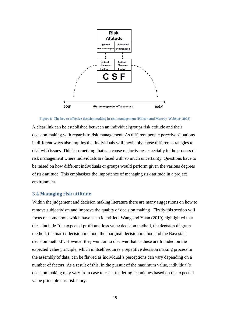

<span id="page-24-1"></span>**Figure 8- The key to effective decision making in risk management (Hillson and Murray-Webster, 2008)**

A clear link can be established between an individual/groups risk attitude and their decision making with regards to risk management. As different people perceive situations in different ways also implies that individuals will inevitably chose different strategies to deal with issues. This is something that can cause major issues especially in the process of risk management where individuals are faced with so much uncertainty. Questions have to be raised on how different individuals or groups would perform given the various degrees of risk attitude. This emphasises the importance of managing risk attitude in a project environment.

### <span id="page-24-0"></span>**3.4 Managing risk attitude**

Within the judgement and decision making literature there are many suggestions on how to remove subjectivism and improve the quality of decision making. Firstly this section will focus on some tools which have been identified. Wang and Yuan (2010) highlighted that these include "the expected profit and loss value decision method, the decision diagram method, the matrix decision method, the marginal decision method and the Bayesian decision method". However they went on to discover that as these are founded on the expected value principle, which in itself requires a repetitive decision making process in the assembly of data, can be flawed as individual's perceptions can vary depending on a number of factors. As a result of this, in the pursuit of the maximum value, individual's decision making may vary from case to case, rendering techniques based on the expected value principle unsatisfactory.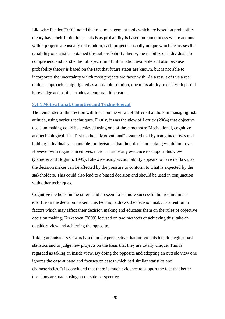Likewise Pender (2001) noted that risk management tools which are based on probability theory have their limitations. This is as probability is based on randomness where actions within projects are usually not random, each project is usually unique which decreases the reliability of statistics obtained through probability theory, the inability of individuals to comprehend and handle the full spectrum of information available and also because probability theory is based on the fact that future states are known, but is not able to incorporate the uncertainty which most projects are faced with. As a result of this a real options approach is highlighted as a possible solution, due to its ability to deal with partial knowledge and as it also adds a temporal dimension.

### <span id="page-25-0"></span>**3.4.1 Motivational, Cognitive and Technological**

The remainder of this section will focus on the views of different authors in managing risk attitude, using various techniques. Firstly, it was the view of Larrick (2004) that objective decision making could be achieved using one of three methods; Motivational, cognitive and technological. The first method "Motivational" assumed that by using incentives and holding individuals accountable for decisions that their decision making would improve. However with regards incentives, there is hardly any evidence to support this view (Camerer and Hogarth, 1999). Likewise using accountability appears to have its flaws, as the decision maker can be affected by the pressure to conform to what is expected by the stakeholders. This could also lead to a biased decision and should be used in conjunction with other techniques.

Cognitive methods on the other hand do seem to be more successful but require much effort from the decision maker. This technique draws the decision maker's attention to factors which may affect their decision making and educates them on the rules of objective decision making. Kirkeboen (2009) focused on two methods of achieving this; take an outsiders view and achieving the opposite.

Taking an outsiders view is based on the perspective that individuals tend to neglect past statistics and to judge new projects on the basis that they are totally unique. This is regarded as taking an inside view. By doing the opposite and adopting an outside view one ignores the case at hand and focuses on cases which had similar statistics and characteristics. It is concluded that there is much evidence to support the fact that better decisions are made using an outside perspective.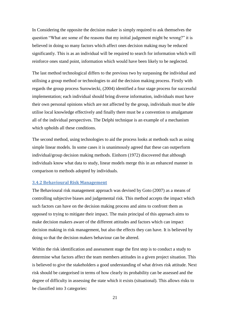In Considering the opposite the decision maker is simply required to ask themselves the question "What are some of the reasons that my initial judgement might be wrong?" it is believed in doing so many factors which affect ones decision making may be reduced significantly. This is as an individual will be required to search for information which will reinforce ones stand point, information which would have been likely to be neglected.

The last method technological differs to the previous two by surpassing the individual and utilising a group method or technologies to aid the decision making process. Firstly with regards the group process Surowiecki, (2004) identified a four stage process for successful implementation; each individual should bring diverse information, individuals must have their own personal opinions which are not affected by the group, individuals must be able utilise local knowledge effectively and finally there must be a convention to amalgamate all of the individual perspectives. The Delphi technique is an example of a mechanism which upholds all these conditions.

The second method, using technologies to aid the process looks at methods such as using simple linear models. In some cases it is unanimously agreed that these can outperform individual/group decision making methods. Einhorn (1972) discovered that although individuals know what data to study, linear models merge this in an enhanced manner in comparison to methods adopted by individuals.

#### <span id="page-26-0"></span>**3.4.2 Behavioural Risk Management**

The Behavioural risk management approach was devised by Goto (2007) as a means of controlling subjective biases and judgemental risk. This method accepts the impact which such factors can have on the decision making process and aims to confront them as opposed to trying to mitigate their impact. The main principal of this approach aims to make decision makers aware of the different attitudes and factors which can impact decision making in risk management, but also the effects they can have. It is believed by doing so that the decision makers behaviour can be altered.

Within the risk identification and assessment stage the first step is to conduct a study to determine what factors affect the team members attitudes in a given project situation. This is believed to give the stakeholders a good understanding of what drives risk attitude. Next risk should be categorised in terms of how clearly its probability can be assessed and the degree of difficulty in assessing the state which it exists (situational). This allows risks to be classified into 3 categories: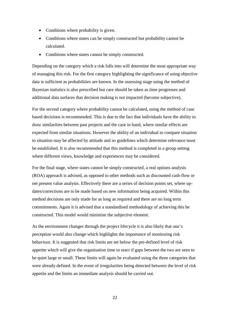- Conditions where probability is given.
- Conditions where states can be simply constructed but probability cannot be calculated.
- Conditions where states cannot be simply constructed.

Depending on the category which a risk falls into will determine the most appropriate way of managing this risk. For the first category highlighting the significance of using objective data is sufficient as probabilities are known. In the assessing stage using the method of Bayesian statistics is also prescribed but care should be taken as time progresses and additional data surfaces that decision making is not impacted (become subjective).

For the second category where probability cannot be calculated, using the method of case based decisions is recommended. This is due to the fact that individuals have the ability to draw similarities between past projects and the case in hand, where similar effects are expected from similar situations. However the ability of an individual to compare situation to situation may be affected by attitude and so guidelines which determine relevance must be established. It is also recommended that this method is completed in a group setting where different views, knowledge and experiences may be considered.

For the final stage, where states cannot be simply constructed, a real options analysis (ROA) approach is advised, as opposed to other methods such as discounted cash-flow or net present value analysis. Effectively there are a series of decision points set, where updates/corrections are to be made based on new information being acquired. Within this method decisions are only made for as long as required and there are no long term commitments. Again it is advised that a standardised methodology of achieving this be constructed. This model would minimise the subjective element.

As the environment changes through the project lifecycle it is also likely that one's perception would also change which highlights the importance of monitoring risk behaviour. It is suggested that risk limits are set below the pre-defined level of risk appetite which will give the organisation time to react if gaps between the two are seen to be quiet large or small. These limits will again be evaluated using the three categories that were already defined. In the event of irregularities being detected between the level of risk appetite and the limits an immediate analysis should be carried out.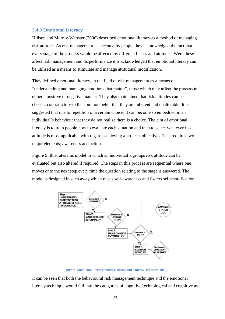### <span id="page-28-0"></span>**3.4.3 Emotional Literacy**

Hillson and Murray-Webster (2006) described emotional literacy as a method of managing risk attitude. As risk management is executed by people they acknowledged the fact that every stage of the process would be affected by different biases and attitudes. Were these affect risk management and its performance it is acknowledged that emotional literacy can be utilised as a means to stimulate and manage attitudinal modification.

They defined emotional literacy, in the field of risk management as a means of "understanding and managing emotions that matter", those which may affect the process in either a positive or negative manner. They also maintained that risk attitudes can be chosen, contradictory to the common belief that they are inherent and unalterable. It is suggested that due to repetition of a certain choice, it can become so embedded in an individual's behaviour that they do not realise there is a choice. The aim of emotional literacy is to train people how to evaluate each situation and then to select whatever risk attitude is most applicable with regards achieving a projects objectives. This requires two major elements; awareness and action.

Figure 9 illustrates this model in which an individual's/groups risk attitude can be evaluated but also altered if required. The steps in this process are sequential where one moves onto the next step every time the question relating to the stage is answered. The model is designed in such away which raises self-awareness and fosters self-modification.



**Figure 9- Emotional literacy model (Hillson and Murray-Webster, 2008)**

<span id="page-28-1"></span>It can be seen that both the behavioural risk management technique and the emotional literacy technique would fall into the categories of cognitive/technological and cognitive as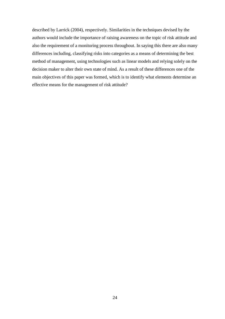described by Larrick (2004), respectively. Similarities in the techniques devised by the authors would include the importance of raising awareness on the topic of risk attitude and also the requirement of a monitoring process throughout. In saying this there are also many differences including, classifying risks into categories as a means of determining the best method of management, using technologies such as linear models and relying solely on the decision maker to alter their own state of mind. As a result of these differences one of the main objectives of this paper was formed, which is to identify what elements determine an effective means for the management of risk attitude?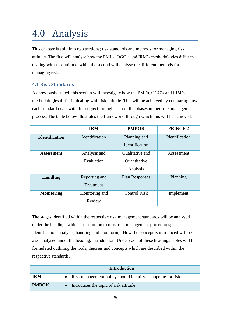## <span id="page-30-0"></span>4.0 Analysis

This chapter is split into two sections; risk standards and methods for managing risk attitude. The first will analyse how the PMI's, OGC's and IRM's methodologies differ in dealing with risk attitude, while the second will analyse the different methods for managing risk.

## <span id="page-30-1"></span>**4.1 Risk Standards**

As previously stated, this section will investigate how the PMI's, OGC's and IRM's methodologies differ in dealing with risk attitude. This will be achieved by comparing how each standard deals with this subject through each of the phases in their risk management process. The table below illustrates the framework, through which this will be achieved.

|                       | <b>IRM</b>                 | <b>PMBOK</b>                                | <b>PRINCE 2</b> |
|-----------------------|----------------------------|---------------------------------------------|-----------------|
| <b>Identification</b> | Identification             | Planning and<br>Identification              | Identification  |
| <b>Assessment</b>     | Analysis and<br>Evaluation | Qualitative and<br>Quantitative<br>Analysis | Assessment      |
| <b>Handling</b>       | Reporting and<br>Treatment | <b>Plan Responses</b>                       | Planning        |
| <b>Monitoring</b>     | Monitoring and<br>Review   | <b>Control Risk</b>                         | Implement       |

The stages identified within the respective risk management standards will be analysed under the headings which are common to most risk management procedures; Identification, analysis, handling and monitoring. How the concept is introduced will be also analysed under the heading, introduction. Under each of these headings tables will be formulated outlining the tools, theories and concepts which are described within the respective standards.

|              | <b>Introduction</b>                                             |
|--------------|-----------------------------------------------------------------|
| <b>IRM</b>   | • Risk management policy should identify its appetite for risk. |
| <b>PMBOK</b> | Introduces the topic of risk attitude.                          |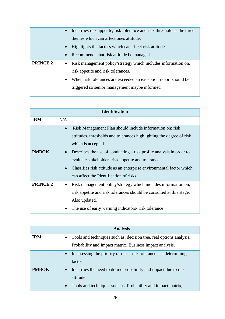|                 | Identifies risk appetite, risk tolerance and risk threshold as the three<br>$\bullet$ |
|-----------------|---------------------------------------------------------------------------------------|
|                 | themes which can affect ones attitude.                                                |
|                 | Highlights the factors which can affect risk attitude.<br>$\bullet$                   |
|                 | Recommends that risk attitude be managed.<br>$\bullet$                                |
| <b>PRINCE 2</b> | Risk management policy/strategy which includes information on,<br>$\bullet$           |
|                 | risk appetite and risk tolerances.                                                    |
|                 | When risk tolerances are exceeded an exception report should be<br>$\bullet$          |
|                 | triggered so senior management maybe informed.                                        |
|                 |                                                                                       |

| <b>Identification</b> |                                                                                                                                                                                                                                                                                                                                                                                                                                  |  |
|-----------------------|----------------------------------------------------------------------------------------------------------------------------------------------------------------------------------------------------------------------------------------------------------------------------------------------------------------------------------------------------------------------------------------------------------------------------------|--|
| <b>IRM</b>            | N/A                                                                                                                                                                                                                                                                                                                                                                                                                              |  |
| <b>PMBOK</b>          | Risk Management Plan should include information on; risk<br>$\bullet$<br>attitudes, thresholds and tolerances highlighting the degree of risk<br>which is accepted.<br>Describes the use of conducting a risk profile analysis in order to<br>evaluate stakeholders risk appetite and tolerance.<br>Classifies risk attitude as an enterprise environmental factor which<br>$\bullet$<br>can affect the Identification of risks. |  |
| <b>PRINCE 2</b>       | Risk management policy/strategy which includes information on,<br>risk appetite and risk tolerances should be consulted at this stage.<br>Also updated.<br>The use of early warning indicators- risk tolerance                                                                                                                                                                                                                   |  |

|              | <b>Analysis</b>                                                                  |  |
|--------------|----------------------------------------------------------------------------------|--|
| <b>IRM</b>   | Tools and techniques such as: decision tree, real options analysis,<br>$\bullet$ |  |
|              | Probability and Impact matrix, Business impact analysis.                         |  |
|              | In assessing the priority of risks, risk tolerance is a determining              |  |
|              | factor                                                                           |  |
| <b>PMBOK</b> | Identifies the need to define probability and impact due to risk<br>$\bullet$    |  |
|              | attitude                                                                         |  |
|              | Tools and techniques such as: Probability and impact matrix,                     |  |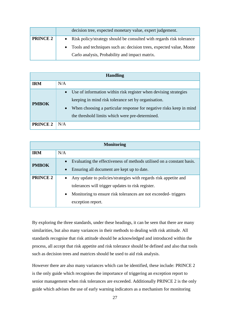|                 | decision tree, expected monetary value, expert judgement.             |
|-----------------|-----------------------------------------------------------------------|
| <b>PRINCE 2</b> | Risk policy/strategy should be consulted with regards risk tolerance  |
|                 | • Tools and techniques such as: decision trees, expected value, Monte |
|                 | Carlo analysis, Probability and impact matrix.                        |

| <b>Handling</b> |                                                                                                                                                                                                                                                                             |  |
|-----------------|-----------------------------------------------------------------------------------------------------------------------------------------------------------------------------------------------------------------------------------------------------------------------------|--|
| <b>IRM</b>      | N/A                                                                                                                                                                                                                                                                         |  |
| <b>PMBOK</b>    | Use of information within risk register when devising strategies<br>$\bullet$<br>keeping in mind risk tolerance set by organisation.<br>When choosing a particular response for negative risks keep in mind<br>$\bullet$<br>the threshold limits which were pre-determined. |  |
| <b>PRINCE 2</b> | N/A                                                                                                                                                                                                                                                                         |  |

| <b>Monitoring</b> |                                                                                                                                                                                                                                        |  |  |  |
|-------------------|----------------------------------------------------------------------------------------------------------------------------------------------------------------------------------------------------------------------------------------|--|--|--|
| <b>IRM</b>        | N/A                                                                                                                                                                                                                                    |  |  |  |
| <b>PMBOK</b>      | Evaluating the effectiveness of methods utilised on a constant basis.<br>$\bullet$<br>Ensuring all document are kept up to date.<br>$\bullet$                                                                                          |  |  |  |
| <b>PRINCE 2</b>   | Any update to policies/strategies with regards risk appetite and<br>$\bullet$<br>tolerances will trigger updates to risk register.<br>Monitoring to ensure risk tolerances are not exceeded-triggers<br>$\bullet$<br>exception report. |  |  |  |

By exploring the three standards, under these headings, it can be seen that there are many similarities, but also many variances in their methods to dealing with risk attitude. All standards recognise that risk attitude should be acknowledged and introduced within the process, all accept that risk appetite and risk tolerance should be defined and also that tools such as decision trees and matrices should be used to aid risk analysis.

However there are also many variances which can be identified, these include: PRINCE 2 is the only guide which recognises the importance of triggering an exception report to senior management when risk tolerances are exceeded. Additionally PRINCE 2 is the only guide which advises the use of early warning indicators as a mechanism for monitoring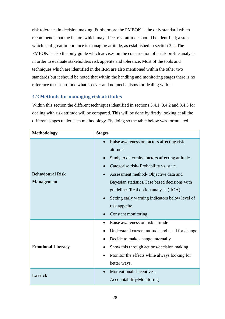risk tolerance in decision making. Furthermore the PMBOK is the only standard which recommends that the factors which may affect risk attitude should be identified; a step which is of great importance is managing attitude, as established in section 3.2. The PMBOK is also the only guide which advises on the construction of a risk profile analysis in order to evaluate stakeholders risk appetite and tolerance. Most of the tools and techniques which are identified in the IRM are also mentioned within the other two standards but it should be noted that within the handling and monitoring stages there is no reference to risk attitude what-so-ever and no mechanisms for dealing with it.

## <span id="page-33-0"></span>**4.2 Methods for managing risk attitudes**

Within this section the different techniques identified in sections 3.4.1, 3.4.2 and 3.4.3 for dealing with risk attitude will be compared. This will be done by firstly looking at all the different stages under each methodology. By doing so the table below was formulated.

| <b>Methodology</b>                           | <b>Stages</b>                                                                                                                                                                                                                                                                                                                                                                                                              |
|----------------------------------------------|----------------------------------------------------------------------------------------------------------------------------------------------------------------------------------------------------------------------------------------------------------------------------------------------------------------------------------------------------------------------------------------------------------------------------|
| <b>Behavioural Risk</b><br><b>Management</b> | Raise awareness on factors affecting risk<br>$\bullet$<br>attitude.<br>Study to determine factors affecting attitude.<br>$\bullet$<br>Categorise risk-Probability vs. state.<br>Assessment method- Objective data and<br>Bayesian statistics/Case based decisions with<br>guidelines/Real option analysis (ROA).<br>Setting early warning indicators below level of<br>$\bullet$<br>risk appetite.<br>Constant monitoring. |
| <b>Emotional Literacy</b>                    | Raise awareness on risk attitude<br>$\bullet$<br>Understand current attitude and need for change<br>Decide to make change internally<br>Show this through actions/decision making<br>$\bullet$<br>Monitor the effects while always looking for<br>$\bullet$<br>better ways.<br>Motivational-Incentives,<br>$\bullet$                                                                                                       |
| <b>Larrick</b>                               | Accountability/Monitoring                                                                                                                                                                                                                                                                                                                                                                                                  |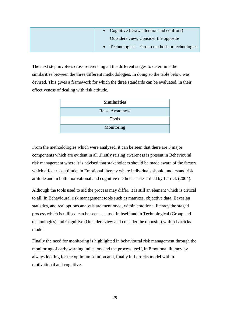| • Cognitive (Draw attention and confront)-      |
|-------------------------------------------------|
| Outsiders view, Consider the opposite           |
| • Technological – Group methods or technologies |

The next step involves cross referencing all the different stages to determine the similarities between the three different methodologies. In doing so the table below was devised. This gives a framework for which the three standards can be evaluated, in their effectiveness of dealing with risk attitude.

| <b>Similarities</b>    |
|------------------------|
| <b>Raise Awareness</b> |
| <b>Tools</b>           |
| Monitoring             |

From the methodologies which were analysed, it can be seen that there are 3 major components which are evident in all .Firstly raising awareness is present in Behavioural risk management where it is advised that stakeholders should be made aware of the factors which affect risk attitude, in Emotional literacy where individuals should understand risk attitude and in both motivational and cognitive methods as described by Larrick (2004).

Although the tools used to aid the process may differ, it is still an element which is critical to all. In Behavioural risk management tools such as matrices, objective data, Bayesian statistics, and real options analysis are mentioned, within emotional literacy the staged process which is utilised can be seen as a tool in itself and in Technological (Group and technologies) and Cognitive (Outsiders view and consider the opposite) within Larricks model.

Finally the need for monitoring is highlighted in behavioural risk management through the monitoring of early warning indicators and the process itself, in Emotional literacy by always looking for the optimum solution and, finally in Larricks model within motivational and cognitive.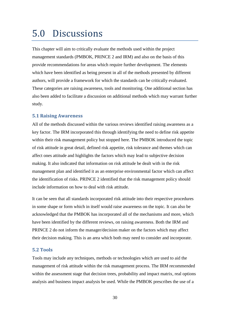## <span id="page-35-0"></span>5.0 Discussions

This chapter will aim to critically evaluate the methods used within the project management standards (PMBOK, PRINCE 2 and IRM) and also on the basis of this provide recommendations for areas which require further development. The elements which have been identified as being present in all of the methods presented by different authors, will provide a framework for which the standards can be critically evaluated. These categories are raising awareness, tools and monitoring. One additional section has also been added to facilitate a discussion on additional methods which may warrant further study.

## <span id="page-35-1"></span>**5.1 Raising Awareness**

All of the methods discussed within the various reviews identified raising awareness as a key factor. The IRM incorporated this through identifying the need to define risk appetite within their risk management policy but stopped here. The PMBOK introduced the topic of risk attitude in great detail, defined risk appetite, risk tolerance and themes which can affect ones attitude and highlights the factors which may lead to subjective decision making. It also indicated that information on risk attitude be dealt with in the risk management plan and identified it as an enterprise environmental factor which can affect the identification of risks. PRINCE 2 identified that the risk management policy should include information on how to deal with risk attitude.

It can be seen that all standards incorporated risk attitude into their respective procedures in some shape or form which in itself would raise awareness on the topic. It can also be acknowledged that the PMBOK has incorporated all of the mechanisms and more, which have been identified by the different reviews, on raising awareness. Both the IRM and PRINCE 2 do not inform the manager/decision maker on the factors which may affect their decision making. This is an area which both may need to consider and incorporate.

### <span id="page-35-2"></span>**5.2 Tools**

Tools may include any techniques, methods or technologies which are used to aid the management of risk attitude within the risk management process. The IRM recommended within the assessment stage that decision trees, probability and impact matrix, real options analysis and business impact analysis be used. While the PMBOK prescribes the use of a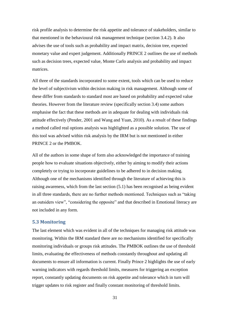risk profile analysis to determine the risk appetite and tolerance of stakeholders, similar to that mentioned in the behavioural risk management technique (section 3.4.2). It also advises the use of tools such as probability and impact matrix, decision tree, expected monetary value and expert judgement. Additionally PRINCE 2 outlines the use of methods such as decision trees, expected value, Monte Carlo analysis and probability and impact matrices.

All three of the standards incorporated to some extent, tools which can be used to reduce the level of subjectivism within decision making in risk management. Although some of these differ from standards to standard most are based on probability and expected value theories. However from the literature review (specifically section 3.4) some authors emphasise the fact that these methods are in adequate for dealing with individuals risk attitude effectively (Pender, 2001 and Wang and Yuan, 2010). As a result of these findings a method called real options analysis was highlighted as a possible solution. The use of this tool was advised within risk analysis by the IRM but is not mentioned in either PRINCE 2 or the PMBOK.

All of the authors in some shape of form also acknowledged the importance of training people how to evaluate situations objectively, either by aiming to modify their actions completely or trying to incorporate guidelines to be adhered to in decision making. Although one of the mechanisms identified through the literature of achieving this is raising awareness, which from the last section (5.1) has been recognised as being evident in all three standards, there are no further methods mentioned. Techniques such as "taking an outsiders view", "considering the opposite" and that described in Emotional literacy are not included in any form.

#### <span id="page-36-0"></span>**5.3 Monitoring**

The last element which was evident in all of the techniques for managing risk attitude was monitoring. Within the IRM standard there are no mechanisms identified for specifically monitoring individuals or groups risk attitudes. The PMBOK outlines the use of threshold limits, evaluating the effectiveness of methods constantly throughout and updating all documents to ensure all information is current. Finally Prince 2 highlights the use of early warning indicators with regards threshold limits, measures for triggering an exception report, constantly updating documents on risk appetite and tolerance which in turn will trigger updates to risk register and finally constant monitoring of threshold limits.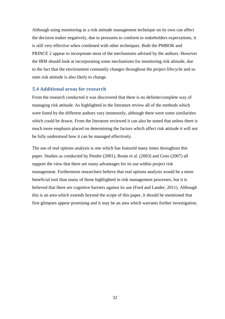Although using monitoring as a risk attitude management technique on its own can affect the decision maker negatively, due to pressures to conform to stakeholders expectations, it is still very effective when combined with other techniques. Both the PMBOK and PRINCE 2 appear to incorporate most of the mechanisms advised by the authors. However the IRM should look at incorporating some mechanisms for monitoring risk attitude, due to the fact that the environment constantly changes throughout the project lifecycle and so ones risk attitude is also likely to change.

### <span id="page-37-0"></span>**5.4 Additional areas for research**

From the research conducted it was discovered that there is no definite/complete way of managing risk attitude. As highlighted in the literature review all of the methods which were listed by the different authors vary immensely, although there were some similarities which could be drawn. From the literature reviewed it can also be stated that unless there is much more emphasis placed on determining the factors which affect risk attitude it will not be fully understood how it can be managed effectively.

The use of real options analysis is one which has featured many times throughout this paper. Studies as conducted by Pender (2001), Boute et al. (2003) and Goto (2007) all support the view that there are many advantages for its use within project risk management. Furthermore researchers believe that real options analysis would be a more beneficial tool than many of those highlighted in risk management processes, but it is believed that there are cognitive barriers against its use (Ford and Lander, 2011). Although this is an area which extends beyond the scope of this paper, it should be mentioned that first glimpses appear promising and it may be an area which warrants further investigation.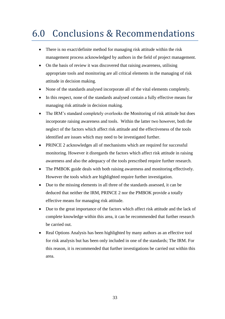## <span id="page-38-0"></span>6.0 Conclusions & Recommendations

- There is no exact/definite method for managing risk attitude within the risk management process acknowledged by authors in the field of project management.
- On the basis of review it was discovered that raising awareness, utilising appropriate tools and monitoring are all critical elements in the managing of risk attitude in decision making.
- None of the standards analysed incorporate all of the vital elements completely.
- In this respect, none of the standards analysed contain a fully effective means for managing risk attitude in decision making.
- The IRM's standard completely overlooks the Monitoring of risk attitude but does incorporate raising awareness and tools. Within the latter two however, both the neglect of the factors which affect risk attitude and the effectiveness of the tools identified are issues which may need to be investigated further.
- PRINCE 2 acknowledges all of mechanisms which are required for successful monitoring. However it disregards the factors which affect risk attitude in raising awareness and also the adequacy of the tools prescribed require further research.
- The PMBOK guide deals with both raising awareness and monitoring effectively. However the tools which are highlighted require further investigation.
- Due to the missing elements in all three of the standards assessed, it can be deduced that neither the IRM, PRINCE 2 nor the PMBOK provide a totally effective means for managing risk attitude.
- Due to the great importance of the factors which affect risk attitude and the lack of complete knowledge within this area, it can be recommended that further research be carried out.
- Real Options Analysis has been highlighted by many authors as an effective tool for risk analysis but has been only included in one of the standards; The IRM. For this reason, it is recommended that further investigations be carried out within this area.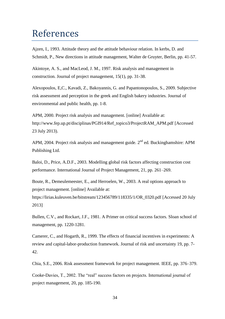## <span id="page-39-0"></span>References

Ajzen, I., 1993. Attitude theory and the attitude behaviour relation. In kerbs, D. and Schmidt, P., New directions in attitude management, Walter de Gruyter, Berlin, pp. 41-57.

Akintoye, A. S., and MacLeod, J. M., 1997. Risk analysis and management in construction. Journal of project management, 15(1), pp. 31-38.

Alexopoulos, E,C., Kavadi, Z., Bakoyannis, G. and Papantonopoulos, S., 2009. Subjective risk assessment and perception in the greek and English bakery industries. Journal of environmental and public health, pp. 1-8.

APM, 2000. Project risk analysis and management. [online] Available at: http://www.fep.up.pt/disciplinas/PGI914/Ref\_topico3/ProjectRAM\_APM.pdf [Accessed 23 July 2013).

APM, 2004. Project risk analysis and management guide.  $2<sup>nd</sup>$  ed. Buckinghamshire: APM Publishing Ltd.

Baloi, D., Price, A.D.F., 2003. Modelling global risk factors affecting construction cost performance. International Journal of Project Management, 21, pp. 261–269.

Boute, R., Demeulemeester, E., and Herroelen, W., 2003. A real options approach to project management. [online] Available at:

https://lirias.kuleuven.be/bitstream/123456789/118335/1/OR\_0320.pdf [Accessed 20 July 2013]

Bullen, C.V., and Rockart, J.F., 1981. A Primer on critical success factors. Sloan school of management, pp. 1220-1281.

Camerer, C., and Hogarth, R., 1999. The effects of financial incentives in experiments: A review and capital-labor-production framework. Journal of risk and uncertainty 19, pp. 7- 42.

Chia, S.E., 2006. Risk assessment framework for project management. IEEE, pp. 376–379.

Cooke-Davies, T., 2002. The "real" success factors on projects. International journal of project management, 20, pp. 185-190.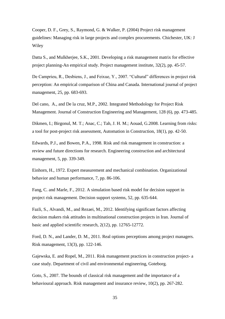Cooper, D. F., Grey, S., Raymond, G. & Walker, P. (2004) Project risk management guidelines: Managing risk in large projects and complex procurements. Chichester, UK: J Wiley

Datta S., and Mulkherjee, S.K., 2001. Developing a risk management matrix for effective project planning-An empirical study. Project management institute, 32(2), pp. 45-57.

De Camprieu, R., Desbiens, J., and Feixue, Y., 2007. "Cultural" differences in project risk perception: An empirical comparison of China and Canada. International journal of project management, 25, pp. 683-693.

Del cano, A., and De la cruz, M.P., 2002. Integrated Methodology for Project Risk Management. Journal of Construction Engineering and Management, 128 (6), pp. 473-485.

Dikmen, I.; Birgonul, M. T.; Anac, C.; Tah, J. H. M.; Aouad, G.2008. Learning from risks: a tool for post-project risk assessment, Automation in Construction, 18(1), pp. 42-50.

Edwards, P.J., and Bowen, P.A., 1998. Risk and risk management in construction: a review and future directions for research. Engineering construction and architectural management, 5, pp. 339-349.

Einhorn, H., 1972. Expert measurement and mechanical combination. Organizational behavior and human performance, 7, pp. 86-106.

Fang, C. and Marle, F., 2012. A simulation based risk model for decision support in project risk management. Decision support systems, 52, pp. 635-644.

Fazli, S., Alvandi, M., and Rezaei, M., 2012. Identifying significant factors affecting decision makers risk attitudes in multinational construction projects in Iran. Journal of basic and applied scientific research, 2(12), pp. 12765-12772.

Ford, D. N., and Lander, D. M., 2011. Real options perceptions among project managers. Risk management, 13(3), pp. 122-146.

Gajewska, E. and Ropel, M., 2011. Risk management practices in construction project- a case study. Department of civil and environmental engineering, Goteborg.

Goto, S., 2007. The bounds of classical risk management and the importance of a behavioural approach. Risk management and insurance review, 10(2), pp. 267-282.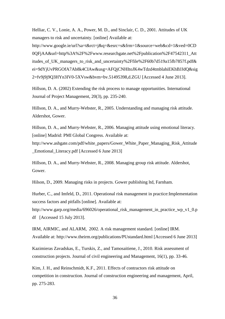Helliar, C. V., Lonie, A. A., Power, M. D., and Sinclair, C. D., 2001. Attitudes of UK managers to risk and uncertainty. [online] Available at:

http://www.google.ie/url?sa=t&rct=j&q=&esrc=s&frm=1&source=web&cd=1&ved=0CD 0QFjAA&url=http%3A%2F%2Fwww.researchgate.net%2Fpublication%2F47542311\_Att itudes\_of\_UK\_managers\_to\_risk\_and\_uncertainty%2Ffile%2F60b7d519a15fb7857f.pdf& ei=9dYjUvPRGOfA7Ab8k4CIAw&usg=AFQjCNHItoJK4wTdzd4tmblahiEKhBJJdQ&sig 2=fv9j9j9Q3HYn3IV0-5XVsw&bvm=bv.51495398,d.ZGU [Accessed 4 June 2013].

Hillson, D. A. (2002) Extending the risk process to manage opportunities. International Journal of Project Management, 20(3), pp. 235-240.

Hillson, D. A., and Murry-Webster, R., 2005. Understanding and managing risk attitude. Aldershot, Gower.

Hillson, D. A., and Murry-Webster, R., 2006. Managing attitude using emotional literacy. [online] Madrid: PMI Global Congress. Available at:

http://www.ashgate.com/pdf/white\_papers/Gower\_White\_Paper\_Managing\_Risk\_Attitude \_Emotional\_Literacy.pdf [Accessed 6 June 2013]

Hillson, D. A., and Murry-Webster, R., 2008. Managing group risk attitude. Aldershot, Gower.

Hilson, D., 2009. Managing risks in projects. Gower publishing ltd, Farnham.

Hurber, C., and Imfeld, D., 2011. Operational risk management in practice: Implementation success factors and pitfalls [online]. Available at:

http://www.garp.org/media/696026/operational\_risk\_management\_in\_practice\_wp\_v1\_0.p df [Accessed 15 July 2013].

IRM, AIRMIC, and ALARM, 2002. A risk management standard. [online] IRM. Available at: http://www.theirm.org/publications/PUstandard.html [Accessed 6 June 2013]

Kazimieras Zavadskas, E., Turskis, Z., and Tamosaitiene, J., 2010. Risk assessment of construction projects. Journal of civil engineering and Management, 16(1), pp. 33-46.

Kim, J. H., and Reinschmidt, K.F., 2011. Effects of contractors risk attitude on competition in construction. Journal of construction engineering and management, April, pp. 275-283.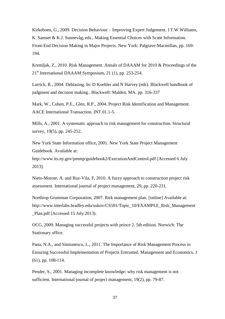Kirkeboen, G., 2009. Decision Behaviour – Improving Expert Judgement. I T.W.Williams, K. Samset & K.J. Sunnevåg, eds., Making Essential Choices with Scant Information. Front-End Decision Making in Major Projects. New York: Palgrave-Macmillan, pp. 169- 194.

Kremljak, Z., 2010. Risk Management. Annals of DAAAM for 2010 & Proceedings of the  $21<sup>st</sup>$  International DAAAM Symposium, 21 (1), pp. 253-254.

Larrick, R., 2004. Debiasing. In: D Koehler and N Harvey (eds). Blackwell handbook of judgment and decision making.. Blackwell: Malden, MA. pp. 316-337

Mark, W., Cohen, P.E., Glen, R.P., 2004. Project Risk Identification and Management. AACE International Transaction. INT.01.1-5.

Mills, A., 2001. A systematic approach to risk management for construction. Structural survey, 19(5), pp. 245-252.

New York State Information office, 2001. New York State Project Management Guidebook. Available at:

http://www.its.ny.gov/pmmp/guidebook2/ExecutionAndControl.pdf [Accessed 6 July 2013].

Nieto-Morote, A. and Ruz-Vila, F, 2010. A fuzzy approach to construction project risk assessment. International journal of project management, 29, pp. 220-231.

Northrop Grumman Corporation, 2007. Rirk management plan. [online] Available at: http://www.interlabs.bradley.edu/uskov/CS591/Topic\_10/EXAMPLE\_Risk\_Management \_Plan.pdf [Accessed 15 July 2013).

OCG, 2009. Managing successful projects with prince 2. 5th edition. Norwich: The Stationary office.

Pana, N.A., and Simionescu, L., 2011. The Importance of Risk Management Process in Ensuring Successful Implementation of Projects Entrusted. Management and Economics, 1 (61), pp. 108-114.

Pender, S., 2001. Managing incomplete knowledge: why risk management is not sufficient. International journal of project management, 19(2), pp. 79-87.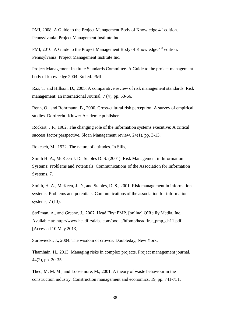PMI, 2008. A Guide to the Project Management Body of Knowledge.4<sup>th</sup> edition. Pennsylvania: Project Management Institute Inc.

PMI, 2010. A Guide to the Project Management Body of Knowledge.4<sup>th</sup> edition. Pennsylvania: Project Management Institute Inc.

Project Management Institute Standards Committee. A Guide to the project management body of knowledge 2004. 3rd ed. PMI

Raz, T. and Hillson, D., 2005. A comparative review of risk management standards. Risk management: an international Journal, 7 (4), pp. 53-66.

Renn, O., and Rohrmann, B., 2000. Cross-cultural risk perception: A survey of empirical studies. Dordrecht, Kluwer Academic publishers.

Rockart, J.F., 1982. The changing role of the information systems executive: A critical success factor perspective. Sloan Management review, 24(1), pp. 3-13.

Rokeach, M., 1972. The nature of attitudes. In Sills,

Smith H. A., McKeen J. D., Staples D. S. (2001). Risk Management in Information Systems: Problems and Potentials. Communications of the Association for Information Systems, 7.

Smith, H. A., McKeen, J. D., and Staples, D. S., 2001. Risk management in information systems: Problems and potentials. Communications of the association for information systems, 7 (13).

Stellman, A., and Greene, J., 2007. Head First PMP. [online] O'Reilly Media, Inc. Available at: http://www.headfirstlabs.com/books/hfpmp/headfirst\_pmp\_ch11.pdf [Accessed 10 May 2013].

Surowiecki, J., 2004. The wisdom of crowds. Doubleday, New York.

Thamhain, H., 2013. Managing risks in complex projects. Project management journal, 44(2), pp. 20-35.

Theo, M. M. M., and Loosemore, M., 2001. A theory of waste behaviour in the construction industry. Construction management and economics, 19, pp. 741-751.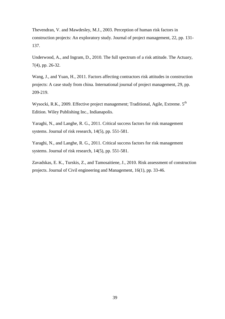Thevendran, V. and Mawdesley, M.J., 2003. Perception of human risk factors in construction projects: An exploratory study. Journal of project management, 22, pp. 131- 137.

Underwood, A., and Ingram, D., 2010. The full spectrum of a risk attitude. The Actuary, 7(4), pp. 26-32.

Wang, J., and Yuan, H., 2011. Factors affecting contractors risk attitudes in construction projects: A case study from china. International journal of project management, 29, pp. 209-219.

Wysocki, R.K., 2009. Effective project management; Traditional, Agile, Extreme. 5<sup>th</sup> Edition. Wiley Publishing Inc., Indianapolis.

Yaraghi, N., and Langhe, R. G., 2011. Critical success factors for risk management systems. Journal of risk research, 14(5), pp. 551-581.

Yaraghi, N., and Langhe, R. G., 2011. Critical success factors for risk management systems. Journal of risk research, 14(5), pp. 551-581.

Zavadskas, E. K., Turskis, Z., and Tamosaitiene, J., 2010. Risk assessment of construction projects. Journal of Civil engineering and Management, 16(1), pp. 33-46.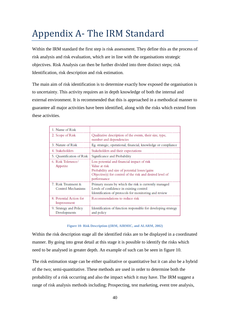## <span id="page-45-0"></span>Appendix A- The IRM Standard

Within the IRM standard the first step is risk assessment. They define this as the process of risk analysis and risk evaluation, which are in line with the organisations strategic objectives. Risk Analysis can then be further divided into three distinct steps; risk Identification, risk description and risk estimation.

The main aim of risk identification is to determine exactly how exposed the organisation is to uncertainty. This activity requires an in depth knowledge of both the internal and external environment. It is recommended that this is approached in a methodical manner to guarantee all major activities have been identified, along with the risks which extend from these activities.

| 1. Name of Risk                           |                                                                                                                                                                                            |
|-------------------------------------------|--------------------------------------------------------------------------------------------------------------------------------------------------------------------------------------------|
| 2. Scope of Risk                          | Qualitative description of the events, their size, type,<br>number and dependencies                                                                                                        |
| 3. Nature of Risk                         | Eg. strategic, operational, financial, knowledge or compliance                                                                                                                             |
| 4. Stakeholders                           | Stakeholders and their expectations                                                                                                                                                        |
| 5. Quantification of Risk                 | Significance and Probability                                                                                                                                                               |
| 6. Risk Tolerance/<br>Appetite            | Loss potential and financial impact of risk<br>Value at risk<br>Probability and size of potential losses/gains<br>Objective(s) for control of the risk and desired level of<br>performance |
| 7. Risk Treatment &<br>Control Mechanisms | Primary means by which the risk is currently managed<br>Levels of confidence in existing control<br>Identification of protocols for monitoring and review                                  |
| 8. Potential Action for<br>Improvement    | Recommendations to reduce risk                                                                                                                                                             |
| 9. Strategy and Policy<br>Developments    | Identification of function responsible for developing strategy<br>and policy                                                                                                               |

#### **Figure 10- Risk Description ((IRM, AIRMIC, and ALARM, 2002)**

<span id="page-45-1"></span>Within the risk description stage all the identified risks are to be displayed in a coordinated manner. By going into great detail at this stage it is possible to identify the risks which need to be analysed in greater depth. An example of such can be seen in figure 10.

The risk estimation stage can be either qualitative or quantitative but it can also be a hybrid of the two; semi-quantitative. These methods are used in order to determine both the probability of a risk occurring and also the impact which it may have. The IRM suggest a range of risk analysis methods including; Prospecting, test marketing, event tree analysis,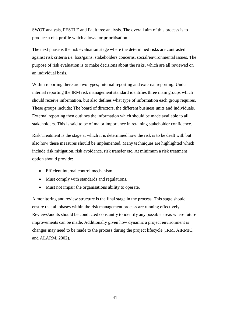SWOT analysis, PESTLE and Fault tree analysis. The overall aim of this process is to produce a risk profile which allows for prioritisation.

The next phase is the risk evaluation stage where the determined risks are contrasted against risk criteria i.e. loss/gains, stakeholders concerns, social/environmental issues. The purpose of risk evaluation is to make decisions about the risks, which are all reviewed on an individual basis.

Within reporting there are two types; Internal reporting and external reporting. Under internal reporting the IRM risk management standard identifies three main groups which should receive information, but also defines what type of information each group requires. These groups include; The board of directors, the different business units and Individuals. External reporting then outlines the information which should be made available to all stakeholders. This is said to be of major importance in retaining stakeholder confidence.

Risk Treatment is the stage at which it is determined how the risk is to be dealt with but also how these measures should be implemented. Many techniques are highlighted which include risk mitigation, risk avoidance, risk transfer etc. At minimum a risk treatment option should provide:

- Efficient internal control mechanism.
- Must comply with standards and regulations.
- Must not impair the organisations ability to operate.

A monitoring and review structure is the final stage in the process. This stage should ensure that all phases within the risk management process are running effectively. Reviews/audits should be conducted constantly to identify any possible areas where future improvements can be made. Additionally given how dynamic a project environment is changes may need to be made to the process during the project lifecycle (IRM, AIRMIC, and ALARM, 2002).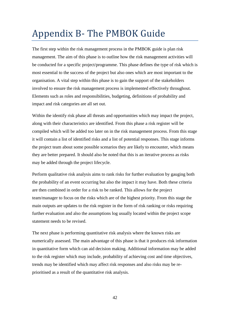## <span id="page-47-0"></span>Appendix B- The PMBOK Guide

The first step within the risk management process in the PMBOK guide is plan risk management. The aim of this phase is to outline how the risk management activities will be conducted for a specific project/programme. This phase defines the type of risk which is most essential to the success of the project but also ones which are most important to the organisation. A vital step within this phase is to gain the support of the stakeholders involved to ensure the risk management process is implemented effectively throughout. Elements such as roles and responsibilities, budgeting, definitions of probability and impact and risk categories are all set out.

Within the identify risk phase all threats and opportunities which may impact the project, along with their characteristics are identified. From this phase a risk register will be compiled which will be added too later on in the risk management process. From this stage it will contain a list of identified risks and a list of potential responses. This stage informs the project team about some possible scenarios they are likely to encounter, which means they are better prepared. It should also be noted that this is an iterative process as risks may be added through the project lifecycle.

Perform qualitative risk analysis aims to rank risks for further evaluation by gauging both the probability of an event occurring but also the impact it may have. Both these criteria are then combined in order for a risk to be ranked. This allows for the project team/manager to focus on the risks which are of the highest priority. From this stage the main outputs are updates to the risk register in the form of risk ranking or risks requiring further evaluation and also the assumptions log usually located within the project scope statement needs to be revised.

The next phase is performing quantitative risk analysis where the known risks are numerically assessed. The main advantage of this phase is that it produces risk information in quantitative form which can aid decision making. Additional information may be added to the risk register which may include, probability of achieving cost and time objectives, trends may be identified which may affect risk responses and also risks may be reprioritised as a result of the quantitative risk analysis.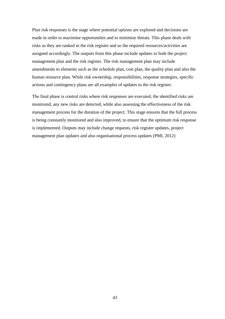Plan risk responses is the stage where potential options are explored and decisions are made in order to maximise opportunities and to minimise threats. This phase deals with risks as they are ranked in the risk register and so the required resources/activities are assigned accordingly. The outputs from this phase include updates to both the project management plan and the risk register. The risk management plan may include amendments to elements such as the schedule plan, cost plan, the quality plan and also the human resource plan. While risk ownership, responsibilities, response strategies, specific actions and contingency plans are all examples of updates to the risk register.

The final phase is control risks where risk responses are executed, the identified risks are monitored, any new risks are detected, while also assessing the effectiveness of the risk management process for the duration of the project. This stage ensures that the full process is being constantly monitored and also improved, to ensure that the optimum risk response is implemented. Outputs may include change requests, risk register updates, project management plan updates and also organisational process updates (PMI, 2012)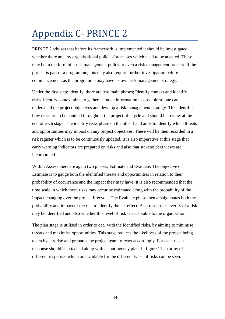## <span id="page-49-0"></span>Appendix C- PRINCE 2

PRINCE 2 advises that before its framework is implemented it should be investigated whether there are any organisational policies/processes which need to be adapted. These may be in the form of a risk management policy or even a risk management process. If the project is part of a programme, this may also require further investigation before commencement, as the programme may have its own risk management strategy.

Under the first step; identify, there are two main phases; Identify context and identify risks. Identify context aims to gather as much information as possible so one can understand the project objectives and develop a risk management strategy. This identifies how risks are to be handled throughout the project life cycle and should be review at the end of each stage. The identify risks phase on the other hand aims to identify which threats and opportunities may impact on any project objectives. These will be then recorded in a risk register which is to be continuously updated. It is also imperative at this stage that early warning indicators are prepared on risks and also that stakeholders views are incorporated.

Within Assess there are again two phases; Estimate and Evaluate. The objective of Estimate is to gauge both the identified threats and opportunities in relation to their probability of occurrence and the impact they may have. It is also recommended that the time scale in which these risks may occur be estimated along with the probability of the impact changing over the project lifecycle. The Evaluate phase then amalgamates both the probability and impact of the risk to identify the net effect. As a result the severity of a risk may be identified and also whether this level of risk is acceptable to the organisation.

The plan stage is utilised in order to deal with the identified risks, by aiming to minimise threats and maximise opportunities. This stage reduces the likeliness of the project being taken by surprise and prepares the project team to react accordingly. For each risk a response should be attached along with a contingency plan. In figure 11 an array of different responses which are available for the different types of risks can be seen.